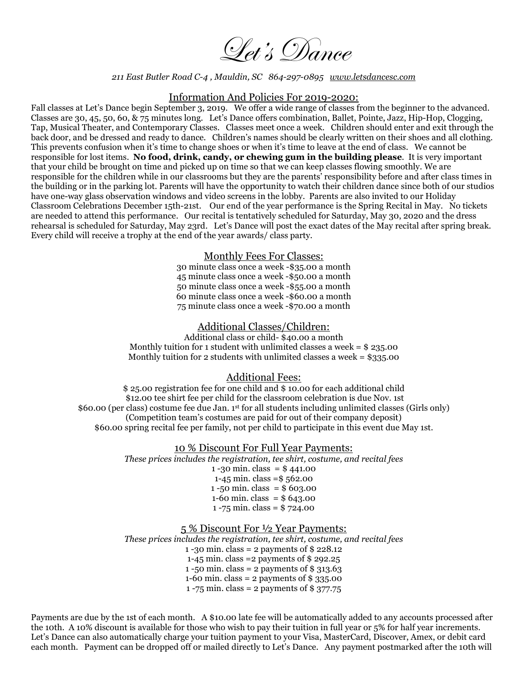Get's Dance

*211 East Butler Road C-4 , Mauldin, SC 864-297-0895 www.letsdancesc.com* 

#### Information And Policies For 2019-2020:

Fall classes at Let's Dance begin September 3, 2019. We offer a wide range of classes from the beginner to the advanced. Classes are 30, 45, 50, 60, & 75 minutes long. Let's Dance offers combination, Ballet, Pointe, Jazz, Hip-Hop, Clogging, Tap, Musical Theater, and Contemporary Classes. Classes meet once a week. Children should enter and exit through the back door, and be dressed and ready to dance. Children's names should be clearly written on their shoes and all clothing. This prevents confusion when it's time to change shoes or when it's time to leave at the end of class. We cannot be responsible for lost items. **No food, drink, candy, or chewing gum in the building please**. It is very important that your child be brought on time and picked up on time so that we can keep classes flowing smoothly. We are responsible for the children while in our classrooms but they are the parents' responsibility before and after class times in the building or in the parking lot. Parents will have the opportunity to watch their children dance since both of our studios have one-way glass observation windows and video screens in the lobby. Parents are also invited to our Holiday Classroom Celebrations December 15th-21st. Our end of the year performance is the Spring Recital in May. No tickets are needed to attend this performance. Our recital is tentatively scheduled for Saturday, May 30, 2020 and the dress rehearsal is scheduled for Saturday, May 23rd. Let's Dance will post the exact dates of the May recital after spring break. Every child will receive a trophy at the end of the year awards/ class party.

#### Monthly Fees For Classes:

30 minute class once a week -\$35.00 a month 45 minute class once a week -\$50.00 a month 50 minute class once a week -\$55.00 a month 60 minute class once a week -\$60.00 a month 75 minute class once a week -\$70.00 a month

### Additional Classes/Children:

Additional class or child- \$40.00 a month Monthly tuition for 1 student with unlimited classes a week  $=$  \$ 235.00 Monthly tuition for 2 students with unlimited classes a week =  $$335.00$ 

## Additional Fees:

\$ 25.00 registration fee for one child and \$ 10.00 for each additional child \$12.00 tee shirt fee per child for the classroom celebration is due Nov. 1st \$60.00 (per class) costume fee due Jan. 1st for all students including unlimited classes (Girls only) (Competition team's costumes are paid for out of their company deposit) \$60.00 spring recital fee per family, not per child to participate in this event due May 1st.

#### 10 % Discount For Full Year Payments:

*These prices includes the registration, tee shirt, costume, and recital fees* 

1 -30 min. class =  $$441.00$ 1-45 min. class =\$ 562.00 1 -50 min. class =  $$603.00$ 1-60 min. class = \$ 643.00 1 -75 min. class = \$ 724.00

5 % Discount For ½ Year Payments:

*These prices includes the registration, tee shirt, costume, and recital fees* 

1 -30 min. class = 2 payments of \$ 228.12

1-45 min. class =2 payments of \$ 292.25

1 -50 min. class = 2 payments of  $$313.63$ 1-60 min. class =  $2$  payments of \$ 335.00

1 -75 min. class =  $2$  payments of \$ 377.75

Payments are due by the 1st of each month. A \$10.00 late fee will be automatically added to any accounts processed after the 10th. A 10% discount is available for those who wish to pay their tuition in full year or 5% for half year increments. Let's Dance can also automatically charge your tuition payment to your Visa, MasterCard, Discover, Amex, or debit card each month. Payment can be dropped off or mailed directly to Let's Dance. Any payment postmarked after the 10th will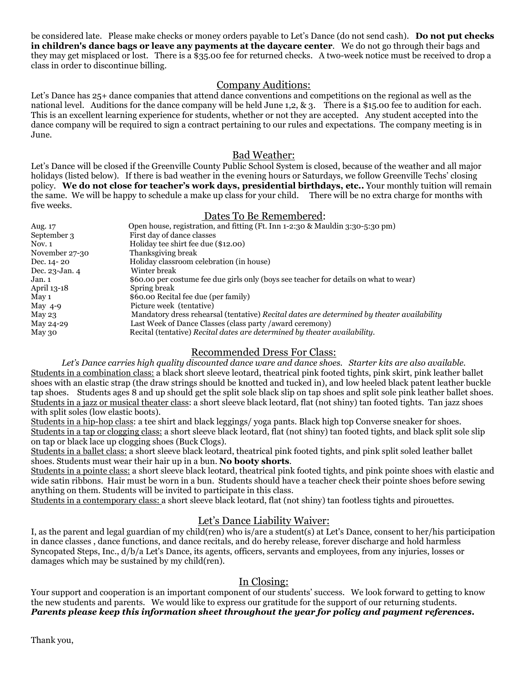be considered late. Please make checks or money orders payable to Let's Dance (do not send cash). **Do not put checks in children's dance bags or leave any payments at the daycare center**. We do not go through their bags and they may get misplaced or lost. There is a \$35.00 fee for returned checks. A two-week notice must be received to drop a class in order to discontinue billing.

# Company Auditions:

Let's Dance has 25+ dance companies that attend dance conventions and competitions on the regional as well as the national level. Auditions for the dance company will be held June 1,2, & 3. There is a \$15.00 fee to audition for each. This is an excellent learning experience for students, whether or not they are accepted. Any student accepted into the dance company will be required to sign a contract pertaining to our rules and expectations. The company meeting is in June.

## Bad Weather:

Let's Dance will be closed if the Greenville County Public School System is closed, because of the weather and all major holidays (listed below). If there is bad weather in the evening hours or Saturdays, we follow Greenville Techs' closing policy. **We do not close for teacher's work days, presidential birthdays, etc..** Your monthly tuition will remain the same. We will be happy to schedule a make up class for your child. There will be no extra charge for months with five weeks.

### Dates To Be Remembered:

| Aug. 17        | Open house, registration, and fitting (Ft. Inn 1-2:30 & Mauldin 3:30-5:30 pm)              |
|----------------|--------------------------------------------------------------------------------------------|
| September 3    | First day of dance classes                                                                 |
| Nov. $1$       | Holiday tee shirt fee due (\$12.00)                                                        |
| November 27-30 | Thanksgiving break                                                                         |
| Dec. 14 - 20   | Holiday classroom celebration (in house)                                                   |
| Dec. 23-Jan. 4 | Winter break                                                                               |
| Jan. 1         | \$60.00 per costume fee due girls only (boys see teacher for details on what to wear)      |
| April 13-18    | Spring break                                                                               |
| May 1          | \$60.00 Recital fee due (per family)                                                       |
| May $4-9$      | Picture week (tentative)                                                                   |
| May $23$       | Mandatory dress rehearsal (tentative) Recital dates are determined by theater availability |
| May 24-29      | Last Week of Dance Classes (class party /award ceremony)                                   |
| May 30         | Recital (tentative) Recital dates are determined by theater availability.                  |

# Recommended Dress For Class:

*Let's Dance carries high quality discounted dance ware and dance shoes. Starter kits are also available.*  Students in a combination class: a black short sleeve leotard, theatrical pink footed tights, pink skirt, pink leather ballet shoes with an elastic strap (the draw strings should be knotted and tucked in), and low heeled black patent leather buckle tap shoes. Students ages 8 and up should get the split sole black slip on tap shoes and split sole pink leather ballet shoes. Students in a jazz or musical theater class: a short sleeve black leotard, flat (not shiny) tan footed tights. Tan jazz shoes with split soles (low elastic boots).

Students in a hip-hop class: a tee shirt and black leggings/ yoga pants. Black high top Converse sneaker for shoes. Students in a tap or clogging class: a short sleeve black leotard, flat (not shiny) tan footed tights, and black split sole slip on tap or black lace up clogging shoes (Buck Clogs).

Students in a ballet class: a short sleeve black leotard, theatrical pink footed tights, and pink split soled leather ballet shoes. Students must wear their hair up in a bun. **No booty shorts**.

Students in a pointe class: a short sleeve black leotard, theatrical pink footed tights, and pink pointe shoes with elastic and wide satin ribbons. Hair must be worn in a bun. Students should have a teacher check their pointe shoes before sewing anything on them. Students will be invited to participate in this class.

Students in a contemporary class: a short sleeve black leotard, flat (not shiny) tan footless tights and pirouettes.

# Let's Dance Liability Waiver:

I, as the parent and legal guardian of my child(ren) who is/are a student(s) at Let's Dance, consent to her/his participation in dance classes , dance functions, and dance recitals, and do hereby release, forever discharge and hold harmless Syncopated Steps, Inc., d/b/a Let's Dance, its agents, officers, servants and employees, from any injuries, losses or damages which may be sustained by my child(ren).

## In Closing:

Your support and cooperation is an important component of our students' success. We look forward to getting to know the new students and parents. We would like to express our gratitude for the support of our returning students. *Parents please keep this information sheet throughout the year for policy and payment references***.**

Thank you,